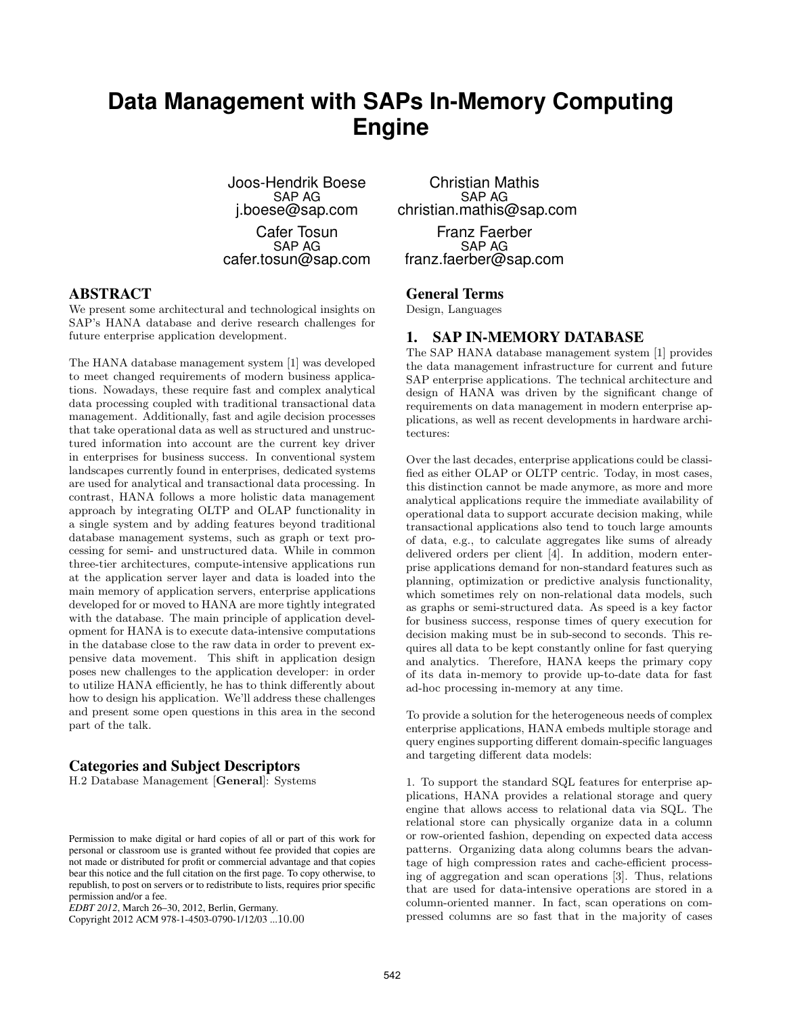# **Data Management with SAPs In-Memory Computing Engine**

Joos-Hendrik Boese SAP AG j.boese@sap.com Cafer Tosun SAP AG cafer.tosun@sap.com

#### ABSTRACT

We present some architectural and technological insights on SAP's HANA database and derive research challenges for future enterprise application development.

The HANA database management system [1] was developed to meet changed requirements of modern business applications. Nowadays, these require fast and complex analytical data processing coupled with traditional transactional data management. Additionally, fast and agile decision processes that take operational data as well as structured and unstructured information into account are the current key driver in enterprises for business success. In conventional system landscapes currently found in enterprises, dedicated systems are used for analytical and transactional data processing. In contrast, HANA follows a more holistic data management approach by integrating OLTP and OLAP functionality in a single system and by adding features beyond traditional database management systems, such as graph or text processing for semi- and unstructured data. While in common three-tier architectures, compute-intensive applications run at the application server layer and data is loaded into the main memory of application servers, enterprise applications developed for or moved to HANA are more tightly integrated with the database. The main principle of application development for HANA is to execute data-intensive computations in the database close to the raw data in order to prevent expensive data movement. This shift in application design poses new challenges to the application developer: in order to utilize HANA efficiently, he has to think differently about how to design his application. We'll address these challenges and present some open questions in this area in the second part of the talk.

### Categories and Subject Descriptors

H.2 Database Management [General]: Systems

Copyright 2012 ACM 978-1-4503-0790-1/12/03 ...10.00

Christian Mathis SAP AG christian.mathis@sap.com

Franz Faerber SAP AG franz.faerber@sap.com

#### General Terms

Design, Languages

# 1. SAP IN-MEMORY DATABASE

The SAP HANA database management system [1] provides the data management infrastructure for current and future SAP enterprise applications. The technical architecture and design of HANA was driven by the significant change of requirements on data management in modern enterprise applications, as well as recent developments in hardware architectures:

Over the last decades, enterprise applications could be classified as either OLAP or OLTP centric. Today, in most cases, this distinction cannot be made anymore, as more and more analytical applications require the immediate availability of operational data to support accurate decision making, while transactional applications also tend to touch large amounts of data, e.g., to calculate aggregates like sums of already delivered orders per client [4]. In addition, modern enterprise applications demand for non-standard features such as planning, optimization or predictive analysis functionality, which sometimes rely on non-relational data models, such as graphs or semi-structured data. As speed is a key factor for business success, response times of query execution for decision making must be in sub-second to seconds. This requires all data to be kept constantly online for fast querying and analytics. Therefore, HANA keeps the primary copy of its data in-memory to provide up-to-date data for fast ad-hoc processing in-memory at any time.

To provide a solution for the heterogeneous needs of complex enterprise applications, HANA embeds multiple storage and query engines supporting different domain-specific languages and targeting different data models:

1. To support the standard SQL features for enterprise applications, HANA provides a relational storage and query engine that allows access to relational data via SQL. The relational store can physically organize data in a column or row-oriented fashion, depending on expected data access patterns. Organizing data along columns bears the advantage of high compression rates and cache-efficient processing of aggregation and scan operations [3]. Thus, relations that are used for data-intensive operations are stored in a column-oriented manner. In fact, scan operations on compressed columns are so fast that in the majority of cases

Permission to make digital or hard copies of all or part of this work for personal or classroom use is granted without fee provided that copies are not made or distributed for profit or commercial advantage and that copies bear this notice and the full citation on the first page. To copy otherwise, to republish, to post on servers or to redistribute to lists, requires prior specific permission and/or a fee.

*EDBT 2012*, March 26–30, 2012, Berlin, Germany.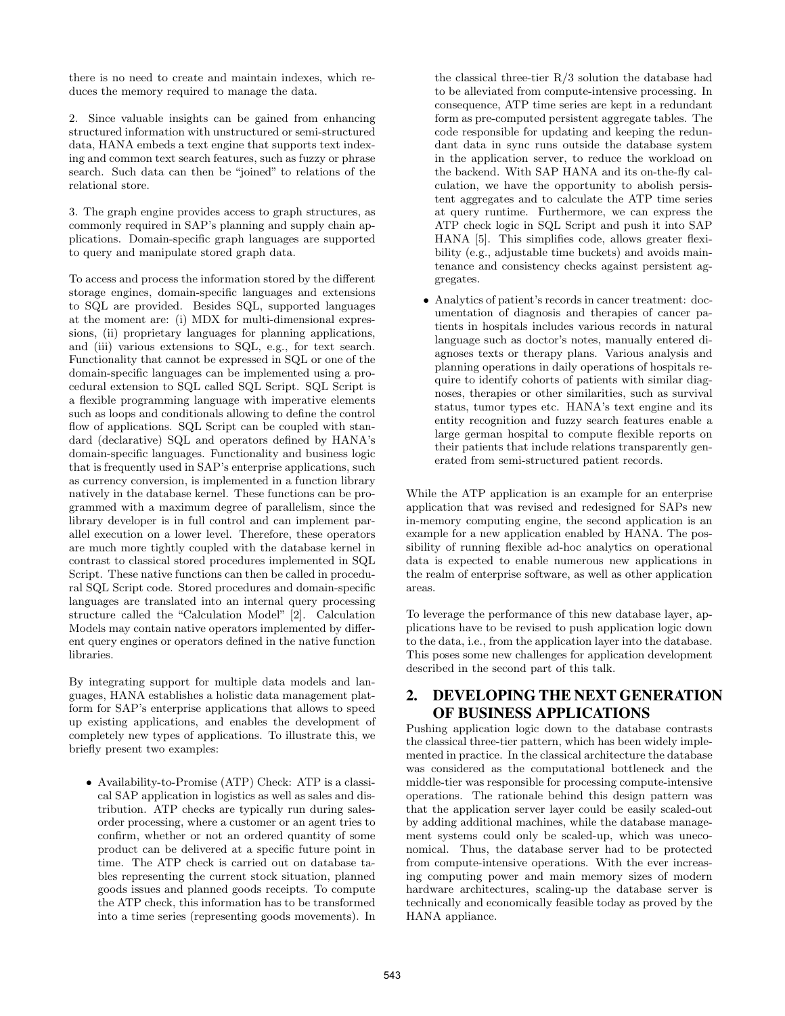there is no need to create and maintain indexes, which reduces the memory required to manage the data.

2. Since valuable insights can be gained from enhancing structured information with unstructured or semi-structured data, HANA embeds a text engine that supports text indexing and common text search features, such as fuzzy or phrase search. Such data can then be "joined" to relations of the relational store.

3. The graph engine provides access to graph structures, as commonly required in SAP's planning and supply chain applications. Domain-specific graph languages are supported to query and manipulate stored graph data.

To access and process the information stored by the different storage engines, domain-specific languages and extensions to SQL are provided. Besides SQL, supported languages at the moment are: (i) MDX for multi-dimensional expressions, (ii) proprietary languages for planning applications, and (iii) various extensions to SQL, e.g., for text search. Functionality that cannot be expressed in SQL or one of the domain-specific languages can be implemented using a procedural extension to SQL called SQL Script. SQL Script is a flexible programming language with imperative elements such as loops and conditionals allowing to define the control flow of applications. SQL Script can be coupled with standard (declarative) SQL and operators defined by HANA's domain-specific languages. Functionality and business logic that is frequently used in SAP's enterprise applications, such as currency conversion, is implemented in a function library natively in the database kernel. These functions can be programmed with a maximum degree of parallelism, since the library developer is in full control and can implement parallel execution on a lower level. Therefore, these operators are much more tightly coupled with the database kernel in contrast to classical stored procedures implemented in SQL Script. These native functions can then be called in procedural SQL Script code. Stored procedures and domain-specific languages are translated into an internal query processing structure called the "Calculation Model" [2]. Calculation Models may contain native operators implemented by different query engines or operators defined in the native function libraries.

By integrating support for multiple data models and languages, HANA establishes a holistic data management platform for SAP's enterprise applications that allows to speed up existing applications, and enables the development of completely new types of applications. To illustrate this, we briefly present two examples:

• Availability-to-Promise (ATP) Check: ATP is a classical SAP application in logistics as well as sales and distribution. ATP checks are typically run during salesorder processing, where a customer or an agent tries to confirm, whether or not an ordered quantity of some product can be delivered at a specific future point in time. The ATP check is carried out on database tables representing the current stock situation, planned goods issues and planned goods receipts. To compute the ATP check, this information has to be transformed into a time series (representing goods movements). In the classical three-tier R/3 solution the database had to be alleviated from compute-intensive processing. In consequence, ATP time series are kept in a redundant form as pre-computed persistent aggregate tables. The code responsible for updating and keeping the redundant data in sync runs outside the database system in the application server, to reduce the workload on the backend. With SAP HANA and its on-the-fly calculation, we have the opportunity to abolish persistent aggregates and to calculate the ATP time series at query runtime. Furthermore, we can express the ATP check logic in SQL Script and push it into SAP HANA [5]. This simplifies code, allows greater flexibility (e.g., adjustable time buckets) and avoids maintenance and consistency checks against persistent aggregates.

• Analytics of patient's records in cancer treatment: documentation of diagnosis and therapies of cancer patients in hospitals includes various records in natural language such as doctor's notes, manually entered diagnoses texts or therapy plans. Various analysis and planning operations in daily operations of hospitals require to identify cohorts of patients with similar diagnoses, therapies or other similarities, such as survival status, tumor types etc. HANA's text engine and its entity recognition and fuzzy search features enable a large german hospital to compute flexible reports on their patients that include relations transparently generated from semi-structured patient records.

While the ATP application is an example for an enterprise application that was revised and redesigned for SAPs new in-memory computing engine, the second application is an example for a new application enabled by HANA. The possibility of running flexible ad-hoc analytics on operational data is expected to enable numerous new applications in the realm of enterprise software, as well as other application areas.

To leverage the performance of this new database layer, applications have to be revised to push application logic down to the data, i.e., from the application layer into the database. This poses some new challenges for application development described in the second part of this talk.

# 2. DEVELOPING THE NEXT GENERATION OF BUSINESS APPLICATIONS

Pushing application logic down to the database contrasts the classical three-tier pattern, which has been widely implemented in practice. In the classical architecture the database was considered as the computational bottleneck and the middle-tier was responsible for processing compute-intensive operations. The rationale behind this design pattern was that the application server layer could be easily scaled-out by adding additional machines, while the database management systems could only be scaled-up, which was uneconomical. Thus, the database server had to be protected from compute-intensive operations. With the ever increasing computing power and main memory sizes of modern hardware architectures, scaling-up the database server is technically and economically feasible today as proved by the HANA appliance.